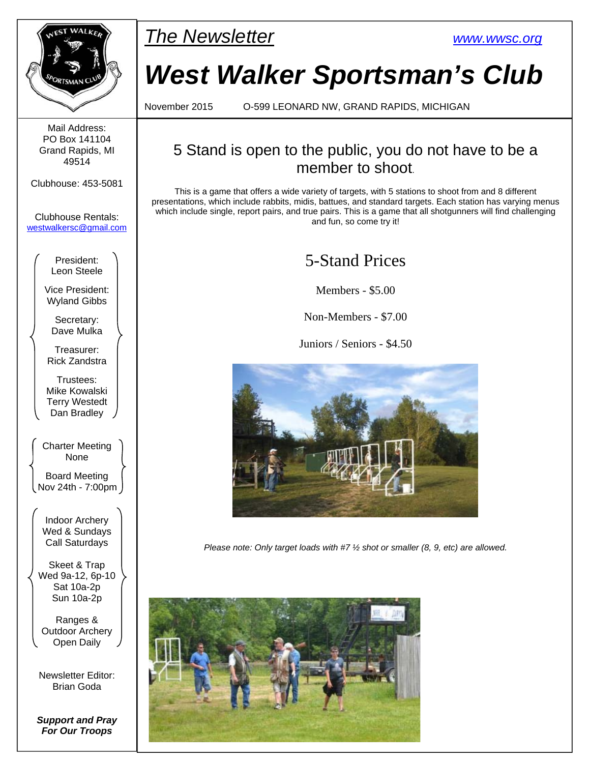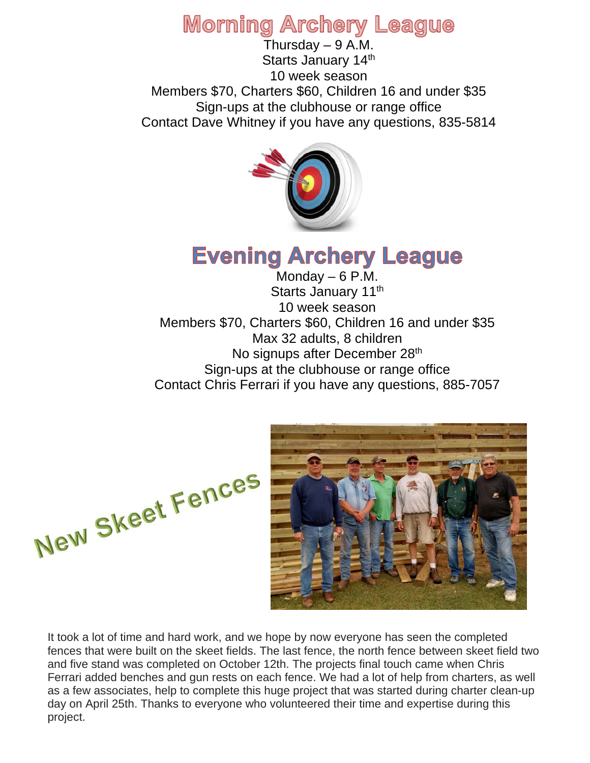## **Morning Archery League**

Thursday  $-9$  A.M. Starts January 14th 10 week season Members \$70, Charters \$60, Children 16 and under \$35 Sign-ups at the clubhouse or range office Contact Dave Whitney if you have any questions, 835-5814



# **Evening Archery League**

Monday  $-6$  P.M. Starts January 11<sup>th</sup> 10 week season Members \$70, Charters \$60, Children 16 and under \$35 Max 32 adults, 8 children No signups after December 28<sup>th</sup> Sign-ups at the clubhouse or range office Contact Chris Ferrari if you have any questions, 885-7057





It took a lot of time and hard work, and we hope by now everyone has seen the completed fences that were built on the skeet fields. The last fence, the north fence between skeet field two and five stand was completed on October 12th. The projects final touch came when Chris Ferrari added benches and gun rests on each fence. We had a lot of help from charters, as well as a few associates, help to complete this huge project that was started during charter clean-up day on April 25th. Thanks to everyone who volunteered their time and expertise during this project.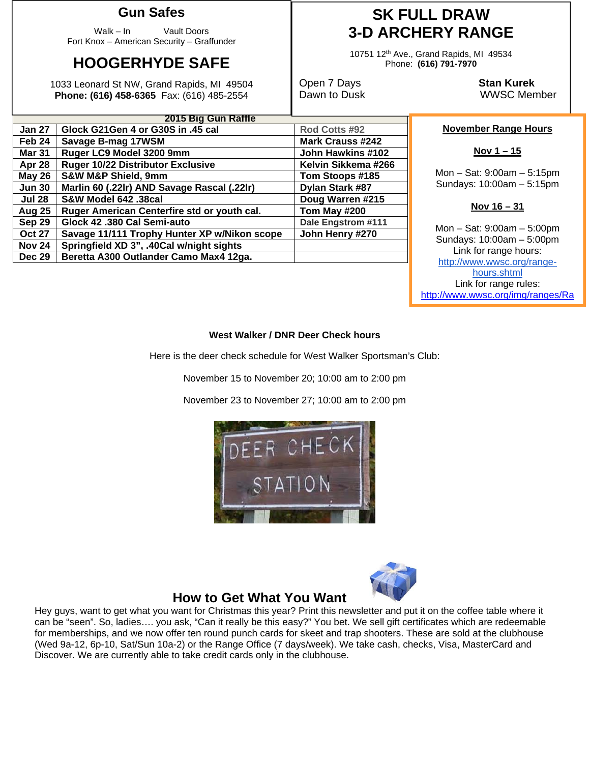### **Gun Safes**

Walk – In Vault Doors Fort Knox – American Security – Graffunder

## **HOOGERHYDE SAFE**

1033 Leonard St NW, Grand Rapids, MI 49504 **Phone: (616) 458-6365** Fax: (616) 485-2554

### **SK FULL DRAW 3-D ARCHERY RANGE**

10751 12th Ave., Grand Rapids, MI 49534 Phone: **(616) 791-7970** 

Open 7 Days **Stan Kurek**

Dawn to Dusk WWSC Member

#### **November Range Hours**

#### **Nov 1 – 15**

Mon – Sat: 9:00am – 5:15pm Sundays: 10:00am – 5:15pm

#### **Nov 16 – 31**

Mon – Sat: 9:00am – 5:00pm Sundays: 10:00am – 5:00pm Link for range hours: http://www.wwsc.org/rangehours.shtml Link for range rules: http://www.wwsc.org/img/ranges/Ra

#### **West Walker / DNR Deer Check hours**

Here is the deer check schedule for West Walker Sportsman's Club:

November 15 to November 20; 10:00 am to 2:00 pm

November 23 to November 27; 10:00 am to 2:00 pm





#### **How to Get What You Want**

Hey guys, want to get what you want for Christmas this year? Print this newsletter and put it on the coffee table where it can be "seen". So, ladies…. you ask, "Can it really be this easy?" You bet. We sell gift certificates which are redeemable for memberships, and we now offer ten round punch cards for skeet and trap shooters. These are sold at the clubhouse (Wed 9a-12, 6p-10, Sat/Sun 10a-2) or the Range Office (7 days/week). We take cash, checks, Visa, MasterCard and Discover. We are currently able to take credit cards only in the clubhouse.

|               | <b>LUIJ DIY OUII INAIIIC</b>                 |                         |  |  |
|---------------|----------------------------------------------|-------------------------|--|--|
| <b>Jan 27</b> | Glock G21Gen 4 or G30S in .45 cal            | Rod Cotts #92           |  |  |
| Feb 24        | Savage B-mag 17WSM                           | <b>Mark Crauss #242</b> |  |  |
| <b>Mar 31</b> | Ruger LC9 Model 3200 9mm                     | John Hawkins #102       |  |  |
| Apr 28        | <b>Ruger 10/22 Distributor Exclusive</b>     | Kelvin Sikkema #266     |  |  |
| <b>May 26</b> | <b>S&amp;W M&amp;P Shield, 9mm</b>           | Tom Stoops #185         |  |  |
| <b>Jun 30</b> | Marlin 60 (.22lr) AND Savage Rascal (.22lr)  | Dylan Stark #87         |  |  |
| <b>Jul 28</b> | <b>S&amp;W Model 642 .38cal</b>              | Doug Warren #215        |  |  |
| Aug 25        | Ruger American Centerfire std or youth cal.  | Tom May #200            |  |  |
| Sep 29        | Glock 42 .380 Cal Semi-auto                  | Dale Engstrom #111      |  |  |
| <b>Oct 27</b> | Savage 11/111 Trophy Hunter XP w/Nikon scope | John Henry #270         |  |  |
| Nov 24        | Springfield XD 3", .40Cal w/night sights     |                         |  |  |
| <b>Dec 29</b> | Beretta A300 Outlander Camo Max4 12ga.       |                         |  |  |

**2015 Big Gun Raffle**